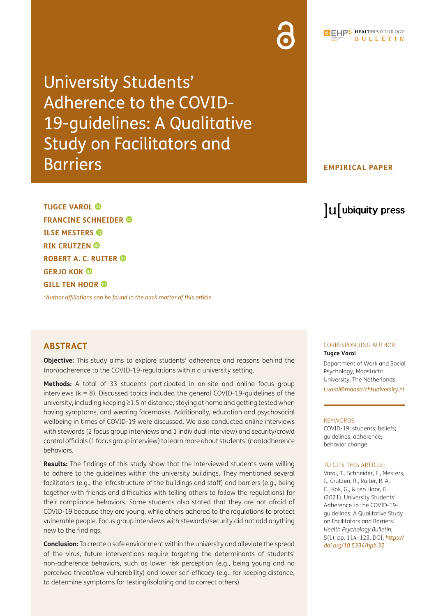University Students' Adherence to the COVID-19-guidelines: A Qualitative Study on Facilitators and Barriers

### **EMPIRICAL PAPER**

# lu ubiquity press

**TUGCE VAROL FRANCINE SCHNEIDER ILSE MESTERS RIK CRUTZEN ROBERT A. C. RUITER GERJO KOK GILL TEN HOOR** 

*[\\*Author affiliations can be found in the back matter of this article](#page-8-0)*

## **ABSTRACT**

**Objective:** This study aims to explore students' adherence and reasons behind the (non)adherence to the COVID-19-regulations within a university setting.

**Methods:** A total of 33 students participated in on-site and online focus group interviews ( $k = 8$ ). Discussed topics included the general COVID-19-quidelines of the university, including keeping ≥1.5 m distance, staying at home and getting tested when having symptoms, and wearing facemasks. Additionally, education and psychosocial wellbeing in times of COVID-19 were discussed. We also conducted online interviews with stewards (2 focus group interviews and 1 individual interview) and security/crowd control officials (1 focus group interview) to learn more about students' (non)adherence behaviors.

**Results:** The findings of this study show that the interviewed students were willing to adhere to the guidelines within the university buildings. They mentioned several facilitators (e.g., the infrastructure of the buildings and staff) and barriers (e.g., being together with friends and difficulties with telling others to follow the regulations) for their compliance behaviors. Some students also stated that they are not afraid of COVID-19 because they are young, while others adhered to the regulations to protect vulnerable people. Focus group interviews with stewards/security did not add anything new to the findings.

**Conclusion:** To create a safe environment within the university and alleviate the spread of the virus, future interventions require targeting the determinants of students' non-adherence behaviors, such as lower risk perception (e.g., being young and no perceived threat/low vulnerability) and lower self-efficacy (e.g., for keeping distance, to determine symptoms for testing/isolating and to correct others).

# CORRESPONDING AUTHOR:

**Tugce Varol** Department of Work and Social

Psychology, Maastricht University, The Netherlands *t.varol@maast[richtuniversity.n](mailto:t.varol@maasrichtuniversity.nl)l*

#### KEYWORDS:

COVID-19; students; beliefs; guidelines; adherence; behavior change

#### TO CITE THIS ARTICLE:

Varol, T., Schneider, F., Mesters, I., Crutzen, R., Ruiter, R. A. C., Kok, G., & ten Hoor, G. (2021). University Students' Adherence to the COVID-19 guidelines: A Qualitative Study on Facilitators and Barriers. *Health Psychology Bulletin,* 5(1), pp. 114–123. DOI: *[https://](https://doi.org/10.5334/hpb.32) [doi.org/10.5334/hpb.32](https://doi.org/10.5334/hpb.32)*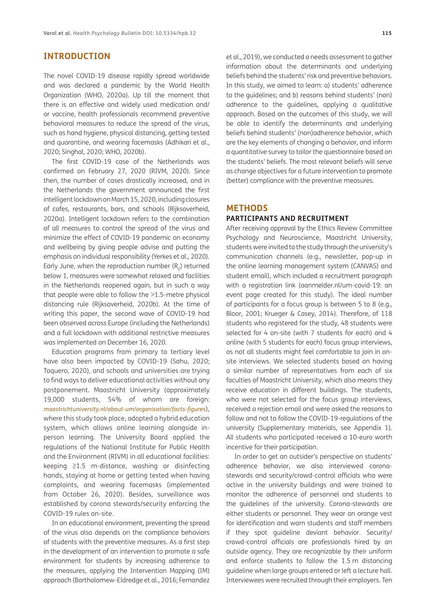### **INTRODUCTION**

The novel COVID-19 disease rapidly spread worldwide and was declared a pandemic by the World Health Organization (WHO, 2020a). Up till the moment that there is an effective and widely used medication and/ or vaccine, health professionals recommend preventive behavioral measures to reduce the spread of the virus, such as hand hygiene, physical distancing, getting tested and quarantine, and wearing facemasks (Adhikari et al., 2020; Singhal, 2020; WHO, 2020b).

The first COVID-19 case of the Netherlands was confirmed on February 27, 2020 (RIVM, 2020). Since then, the number of cases drastically increased, and in the Netherlands the government announced the first intelligent lockdown on March 15, 2020, including closures of cafes, restaurants, bars, and schools (Rijksoverheid, 2020a). Intelligent lockdown refers to the combination of all measures to control the spread of the virus and minimize the effect of COVID-19 pandemic on economy and wellbeing by giving people advise and putting the emphasis on individual responsibility (Yerkes et al., 2020). Early June, when the reproduction number  $(R_0)$  returned below 1, measures were somewhat relaxed and facilities in the Netherlands reopened again, but in such a way that people were able to follow the >1.5-metre physical distancing rule (Rijksoverheid, 2020b). At the time of writing this paper, the second wave of COVID-19 had been observed across Europe (including the Netherlands) and a full lockdown with additional restrictive measures was implemented on December 16, 2020.

Education programs from primary to tertiary level have also been impacted by COVID-19 (Sahu, 2020; Toquero, 2020), and schools and universities are trying to find ways to deliver educational activities without any postponement. Maastricht University (approximately 19,000 students, 54% of whom are foreign: *<maastrichtuniversity.nl/about-um/organisation/facts-figures>*), where this study took place, adopted a hybrid education system, which allows online learning alongside inperson learning. The University Board applied the regulations of the National Institute for Public Health and the Environment (RIVM) in all educational facilities: keeping ≥1.5 m-distance, washing or disinfecting hands, staying at home or getting tested when having complaints, and wearing facemasks (implemented from October 26, 2020). Besides, surveillance was established by corona stewards/security enforcing the COVID-19 rules on-site.

In an educational environment, preventing the spread of the virus also depends on the compliance behaviors of students with the preventive measures. As a first step in the development of an intervention to promote a safe environment for students by increasing adherence to the measures, applying the Intervention Mapping (IM) approach (Bartholomew-Eldredge et al., 2016; Fernandez

et al., 2019), we conducted a needs assessment to gather information about the determinants and underlying beliefs behind the students' risk and preventive behaviors. In this study, we aimed to learn: a) students' adherence

to the guidelines; and b) reasons behind students' (non) adherence to the guidelines, applying a qualitative approach. Based on the outcomes of this study, we will be able to identify the determinants and underlying beliefs behind students' (non)adherence behavior, which are the key elements of changing a behavior, and inform a quantitative survey to tailor the questionnaire based on the students' beliefs. The most relevant beliefs will serve as change objectives for a future intervention to promote (better) compliance with the preventive measures.

#### **METHODS**

#### **PARTICIPANTS AND RECRUITMENT**

After receiving approval by the Ethics Review Committee Psychology and Neuroscience, Maastricht University, students were invited to the study through the university's communication channels (e.g., newsletter, pop-up in the online learning management system (CANVAS) and student email), which included a recruitment paragraph with a registration link (aanmelder.nl/um-covid-19: an event page created for this study). The ideal number of participants for a focus group is between 5 to 8 (e.g., Bloor, 2001; Krueger & Casey, 2014). Therefore, of 118 students who registered for the study, 48 students were selected for 4 on-site (with 7 students for each) and 4 online (with 5 students for each) focus group interviews, as not all students might feel comfortable to join in onsite interviews. We selected students based on having a similar number of representatives from each of six faculties of Maastricht University, which also means they receive education in different buildings. The students, who were not selected for the focus group interviews, received a rejection email and were asked the reasons to follow and not to follow the COVID-19-regulations of the university (Supplementary materials, see Appendix 1). All students who participated received a 10-euro worth incentive for their participation.

In order to get an outsider's perspective on students' adherence behavior, we also interviewed coronastewards and security/crowd-control officials who were active in the university buildings and were trained to monitor the adherence of personnel and students to the guidelines of the university. Corona-stewards are either students or personnel. They wear an orange vest for identification and warn students and staff members if they spot guideline deviant behavior. Security/ crowd-control officials are professionals hired by an outside agency. They are recognizable by their uniform and enforce students to follow the 1.5 m distancing guideline when large groups entered or left a lecture hall. Interviewees were recruited through their employers. Ten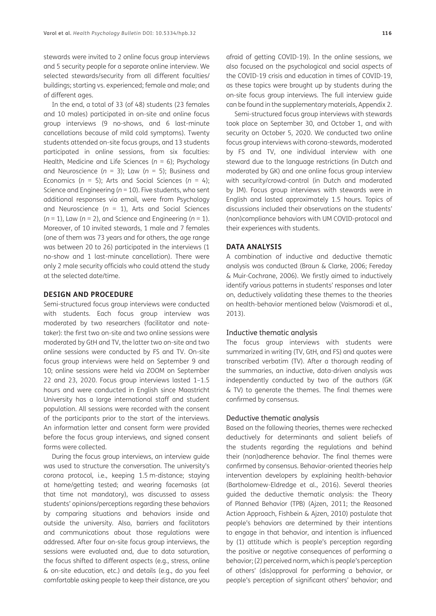stewards were invited to 2 online focus group interviews and 5 security people for a separate online interview. We selected stewards/security from all different faculties/ buildings; starting vs. experienced; female and male; and of different ages.

In the end, a total of 33 (of 48) students (23 females and 10 males) participated in on-site and online focus group interviews (9 no-shows, and 6 last-minute cancellations because of mild cold symptoms). Twenty students attended on-site focus groups, and 13 students participated in online sessions, from six faculties: Health, Medicine and Life Sciences (*n* = 6); Psychology and Neuroscience (*n* = 3); Law (*n* = 5); Business and Economics (*n* = 5); Arts and Social Sciences (*n* = 4); Science and Engineering (*n* = 10). Five students, who sent additional responses via email, were from Psychology and Neuroscience (*n* = 1), Arts and Social Sciences (*n* = 1), Law (*n* = 2), and Science and Engineering (*n* = 1). Moreover, of 10 invited stewards, 1 male and 7 females (one of them was 73 years and for others, the age range was between 20 to 26) participated in the interviews (1 no-show and 1 last-minute cancellation). There were only 2 male security officials who could attend the study at the selected date/time.

### **DESIGN AND PROCEDURE**

Semi-structured focus group interviews were conducted with students. Each focus group interview was moderated by two researchers (facilitator and notetaker): the first two on-site and two online sessions were moderated by GtH and TV, the latter two on-site and two online sessions were conducted by FS and TV. On-site focus group interviews were held on September 9 and 10; online sessions were held via ZOOM on September 22 and 23, 2020. Focus group interviews lasted 1–1.5 hours and were conducted in English since Maastricht University has a large international staff and student population. All sessions were recorded with the consent of the participants prior to the start of the interviews. An information letter and consent form were provided before the focus group interviews, and signed consent forms were collected.

During the focus group interviews, an interview guide was used to structure the conversation. The university's corona protocol, i.e., keeping 1.5 m-distance; staying at home/getting tested; and wearing facemasks (at that time not mandatory), was discussed to assess students' opinions/perceptions regarding these behaviors by comparing situations and behaviors inside and outside the university. Also, barriers and facilitators and communications about those regulations were addressed. After four on-site focus group interviews, the sessions were evaluated and, due to data saturation, the focus shifted to different aspects (e.g., stress, online & on-site education, etc.) and details (e.g., do you feel comfortable asking people to keep their distance, are you

afraid of getting COVID-19). In the online sessions, we also focused on the psychological and social aspects of the COVID-19 crisis and education in times of COVID-19, as these topics were brought up by students during the on-site focus group interviews. The full interview guide can be found in the supplementary materials, Appendix 2.

Semi-structured focus group interviews with stewards took place on September 30, and October 1, and with security on October 5, 2020. We conducted two online focus group interviews with corona-stewards, moderated by FS and TV, one individual interview with one steward due to the language restrictions (in Dutch and moderated by GK) and one online focus group interview with security/crowd-control (in Dutch and moderated by IM). Focus group interviews with stewards were in English and lasted approximately 1.5 hours. Topics of discussions included their observations on the students' (non)compliance behaviors with UM COVID-protocol and their experiences with students.

#### **DATA ANALYSIS**

A combination of inductive and deductive thematic analysis was conducted (Braun & Clarke, 2006; Fereday & Muir-Cochrane, 2006). We firstly aimed to inductively identify various patterns in students' responses and later on, deductively validating these themes to the theories on health-behavior mentioned below (Vaismoradi et al., 2013).

#### Inductive thematic analysis

The focus group interviews with students were summarized in writing (TV, GtH, and FS) and quotes were transcribed verbatim (TV). After a thorough reading of the summaries, an inductive, data-driven analysis was independently conducted by two of the authors (GK & TV) to generate the themes. The final themes were confirmed by consensus.

#### Deductive thematic analysis

Based on the following theories, themes were rechecked deductively for determinants and salient beliefs of the students regarding the regulations and behind their (non)adherence behavior. The final themes were confirmed by consensus. Behavior-oriented theories help intervention developers by explaining health-behavior (Bartholomew-Eldredge et al., 2016). Several theories guided the deductive thematic analysis: the Theory of Planned Behavior (TPB) (Ajzen, 2011; the Reasoned Action Approach, Fishbein & Ajzen, 2010) postulate that people's behaviors are determined by their intentions to engage in that behavior, and intention is influenced by (1) attitude which is people's perception regarding the positive or negative consequences of performing a behavior; (2) perceived norm, which is people's perception of others' (dis)approval for performing a behavior, or people's perception of significant others' behavior; and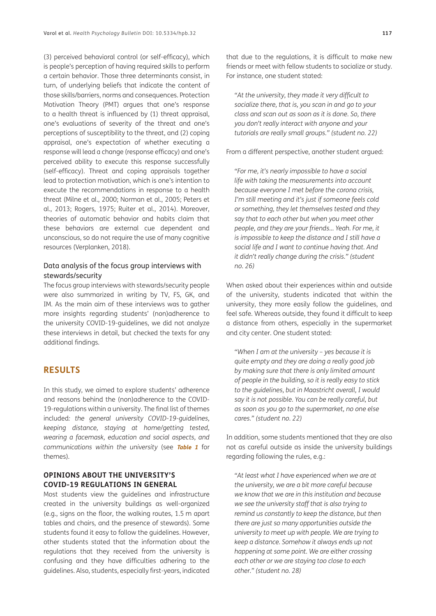(3) perceived behavioral control (or self-efficacy), which is people's perception of having required skills to perform a certain behavior. Those three determinants consist, in turn, of underlying beliefs that indicate the content of those skills/barriers, norms and consequences. Protection Motivation Theory (PMT) argues that one's response to a health threat is influenced by (1) threat appraisal, one's evaluations of severity of the threat and one's perceptions of susceptibility to the threat, and (2) coping appraisal, one's expectation of whether executing a response will lead a change (response efficacy) and one's perceived ability to execute this response successfully (self-efficacy). Threat and coping appraisals together lead to protection motivation, which is one's intention to execute the recommendations in response to a health threat (Milne et al., 2000; Norman et al., 2005; Peters et al., 2013; Rogers, 1975; Ruiter et al., 2014). Moreover, theories of automatic behavior and habits claim that these behaviors are external cue dependent and unconscious, so do not require the use of many cognitive resources (Verplanken, 2018).

### Data analysis of the focus group interviews with stewards/security

The focus group interviews with stewards/security people were also summarized in writing by TV, FS, GK, and IM. As the main aim of these interviews was to gather more insights regarding students' (non)adherence to the university COVID-19-guidelines, we did not analyze these interviews in detail, but checked the texts for any additional findings.

### **RESULTS**

In this study, we aimed to explore students' adherence and reasons behind the (non)adherence to the COVID-19-regulations within a university. The final list of themes included*: the general university COVID-19-guidelines, keeping distance, staying at home/getting tested, wearing a facemask, education and social aspects, and communications within the university* (see **[Table 1](#page-4-0)** for themes)*.*

### **OPINIONS ABOUT THE UNIVERSITY'S COVID-19 REGULATIONS IN GENERAL**

Most students view the guidelines and infrastructure created in the university buildings as well-organized (e.g., signs on the floor, the walking routes, 1.5 m apart tables and chairs, and the presence of stewards). Some students found it easy to follow the guidelines. However, other students stated that the information about the regulations that they received from the university is confusing and they have difficulties adhering to the guidelines. Also, students, especially first-years, indicated

that due to the regulations, it is difficult to make new friends or meet with fellow students to socialize or study. For instance, one student stated:

*"At the university, they made it very difficult to socialize there, that is, you scan in and go to your class and scan out as soon as it is done. So, there you don't really interact with anyone and your tutorials are really small groups." (student no. 22)*

From a different perspective, another student argued:

*"For me, it's nearly impossible to have a social life with taking the measurements into account because everyone I met before the corona crisis, I'm still meeting and it's just if someone feels cold or something, they let themselves tested and they say that to each other but when you meet other people, and they are your friends… Yeah. For me, it is impossible to keep the distance and I still have a social life and I want to continue having that. And it didn't really change during the crisis." (student no. 26)*

When asked about their experiences within and outside of the university, students indicated that within the university, they more easily follow the guidelines, and feel safe. Whereas outside, they found it difficult to keep a distance from others, especially in the supermarket and city center. One student stated:

*"When I am at the university – yes because it is quite empty and they are doing a really good job by making sure that there is only limited amount of people in the building, so it is really easy to stick to the guidelines, but in Maastricht overall, I would say it is not possible. You can be really careful, but as soon as you go to the supermarket, no one else cares." (student no. 22)*

In addition, some students mentioned that they are also not as careful outside as inside the university buildings regarding following the rules, e.g.:

*"At least what I have experienced when we are at the university, we are a bit more careful because we know that we are in this institution and because we see the university staff that is also trying to remind us constantly to keep the distance, but then there are just so many opportunities outside the university to meet up with people. We are trying to keep a distance. Somehow it always ends up not happening at some point. We are either crossing each other or we are staying too close to each other." (student no. 28)*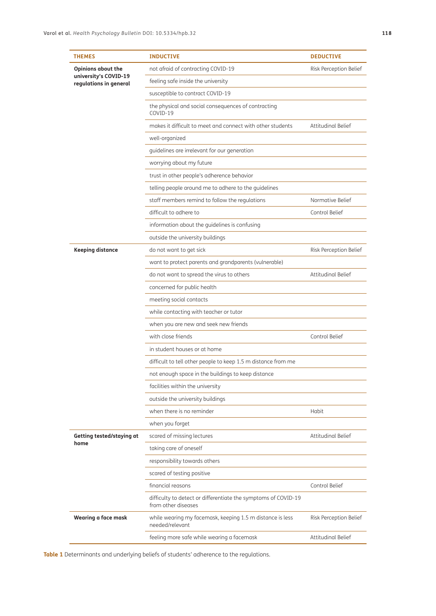| <b>THEMES</b>                                                                | <b>INDUCTIVE</b>                                                                      | <b>DEDUCTIVE</b>       |
|------------------------------------------------------------------------------|---------------------------------------------------------------------------------------|------------------------|
| <b>Opinions about the</b><br>university's COVID-19<br>regulations in general | not afraid of contracting COVID-19                                                    | Risk Perception Belief |
|                                                                              | feeling safe inside the university                                                    |                        |
|                                                                              | susceptible to contract COVID-19                                                      |                        |
|                                                                              | the physical and social consequences of contracting<br>COVID-19                       |                        |
|                                                                              | makes it difficult to meet and connect with other students                            | Attitudinal Belief     |
|                                                                              | well-organized                                                                        |                        |
|                                                                              | guidelines are irrelevant for our generation                                          |                        |
|                                                                              | worrying about my future                                                              |                        |
|                                                                              | trust in other people's adherence behavior                                            |                        |
|                                                                              | telling people around me to adhere to the guidelines                                  |                        |
|                                                                              | staff members remind to follow the regulations                                        | Normative Belief       |
|                                                                              | difficult to adhere to                                                                | Control Belief         |
|                                                                              | information about the guidelines is confusing                                         |                        |
|                                                                              | outside the university buildings                                                      |                        |
| <b>Keeping distance</b>                                                      | do not want to get sick                                                               | Risk Perception Belief |
|                                                                              | want to protect parents and grandparents (vulnerable)                                 |                        |
|                                                                              | do not want to spread the virus to others                                             | Attitudinal Belief     |
|                                                                              | concerned for public health                                                           |                        |
|                                                                              | meeting social contacts                                                               |                        |
|                                                                              | while contacting with teacher or tutor                                                |                        |
|                                                                              | when you are new and seek new friends                                                 |                        |
|                                                                              | with close friends                                                                    | Control Belief         |
|                                                                              | in student houses or at home                                                          |                        |
|                                                                              | difficult to tell other people to keep 1.5 m distance from me                         |                        |
|                                                                              | not enough space in the buildings to keep distance                                    |                        |
|                                                                              | facilities within the university                                                      |                        |
|                                                                              | outside the university buildings                                                      |                        |
|                                                                              | when there is no reminder                                                             | Habit                  |
|                                                                              | when you forget                                                                       |                        |
| Getting tested/staying at<br>home                                            | scared of missing lectures                                                            | Attitudinal Belief     |
|                                                                              | taking care of oneself                                                                |                        |
|                                                                              | responsibility towards others                                                         |                        |
|                                                                              | scared of testing positive                                                            |                        |
|                                                                              | financial reasons                                                                     | Control Belief         |
|                                                                              | difficulty to detect or differentiate the symptoms of COVID-19<br>from other diseases |                        |
| Wearing a face mask                                                          | while wearing my facemask, keeping 1.5 m distance is less<br>needed/relevant          | Risk Perception Belief |
|                                                                              | feeling more safe while wearing a facemask                                            | Attitudinal Belief     |

<span id="page-4-0"></span>**Table 1** Determinants and underlying beliefs of students' adherence to the regulations.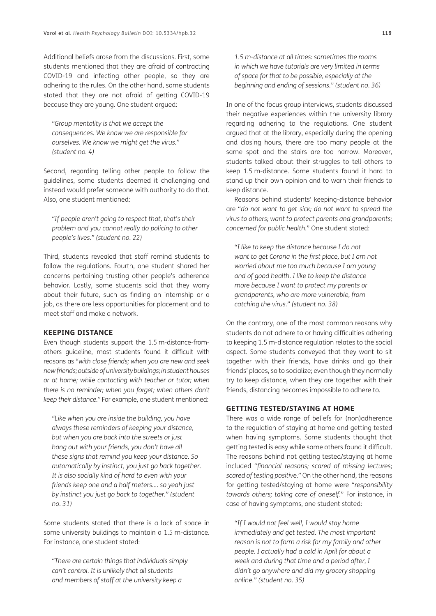Additional beliefs arose from the discussions. First, some students mentioned that they are afraid of contracting COVID-19 and infecting other people, so they are adhering to the rules. On the other hand, some students stated that they are not afraid of getting COVID-19 because they are young. One student argued:

*"Group mentality is that we accept the consequences. We know we are responsible for ourselves. We know we might get the virus." (student no. 4)*

Second, regarding telling other people to follow the guidelines, some students deemed it challenging and instead would prefer someone with authority to do that. Also, one student mentioned:

*"If people aren't going to respect that, that's their problem and you cannot really do policing to other people's lives." (student no. 22)*

Third, students revealed that staff remind students to follow the regulations. Fourth, one student shared her concerns pertaining trusting other people's adherence behavior. Lastly, some students said that they worry about their future, such as finding an internship or a job, as there are less opportunities for placement and to meet staff and make a network.

### **KEEPING DISTANCE**

Even though students support the 1.5 m-distance-fromothers guideline, most students found it difficult with reasons as "*with close friends; when you are new and seek new friends; outside of university buildings; in student houses or at home; while contacting with teacher or tutor; when there is no reminder; when you forget; when others don't keep their distance."* For example, one student mentioned:

*"Like when you are inside the building, you have always these reminders of keeping your distance, but when you are back into the streets or just hang out with your friends, you don't have all these signs that remind you keep your distance. So automatically by instinct, you just go back together. It is also socially kind of hard to even with your friends keep one and a half meters…. so yeah just by instinct you just go back to together." (student no. 31)*

Some students stated that there is a lack of space in some university buildings to maintain a 1.5 m-distance. For instance, one student stated:

*"There are certain things that individuals simply can't control. It is unlikely that all students and members of staff at the university keep a* 

*1.5 m-distance at all times: sometimes the rooms in which we have tutorials are very limited in terms of space for that to be possible, especially at the beginning and ending of sessions." (student no. 36)*

In one of the focus group interviews, students discussed their negative experiences within the university library regarding adhering to the regulations. One student argued that at the library, especially during the opening and closing hours, there are too many people at the same spot and the stairs are too narrow. Moreover*,*  students talked about their struggles to tell others to keep 1.5 m-distance. Some students found it hard to stand up their own opinion and to warn their friends to keep distance.

Reasons behind students' keeping-distance behavior are "*do not want to get sick; do not want to spread the virus to others; want to protect parents and grandparents; concerned for public health*." One student stated:

*"I like to keep the distance because I do not want to get Corona in the first place, but I am not worried about me too much because I am young and of good health. I like to keep the distance more because I want to protect my parents or grandparents, who are more vulnerable, from catching the virus." (student no. 38)*

On the contrary, one of the most common reasons why students do not adhere to or having difficulties adhering to keeping 1.5 m-distance regulation relates to the social aspect. Some students conveyed that they want to sit together with their friends, have drinks and go their friends' places, so to socialize; even though they normally try to keep distance, when they are together with their friends, distancing becomes impossible to adhere to.

#### **GETTING TESTED/STAYING AT HOME**

There was a wide range of beliefs for (non)adherence to the regulation of staying at home and getting tested when having symptoms. Some students thought that getting tested is easy while some others found it difficult. The reasons behind not getting tested/staying at home included "*financial reasons; scared of missing lectures; scared of testing positive.*" On the other hand, the reasons for getting tested/staying at home were "*responsibility towards others; taking care of oneself.*" For instance, in case of having symptoms, one student stated:

*"If I would not feel well, I would stay home immediately and get tested. The most important reason is not to form a risk for my family and other people. I actually had a cold in April for about a week and during that time and a period after, I didn't go anywhere and did my grocery shopping online." (student no. 35)*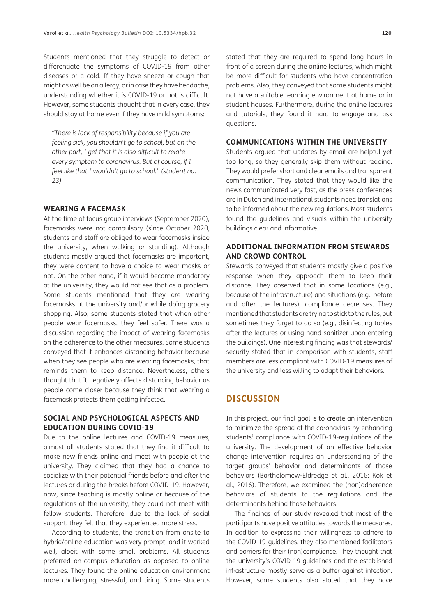Students mentioned that they struggle to detect or differentiate the symptoms of COVID-19 from other diseases or a cold. If they have sneeze or cough that might as well be an allergy, or in case they have headache, understanding whether it is COVID-19 or not is difficult. However, some students thought that in every case, they should stay at home even if they have mild symptoms:

*"There is lack of responsibility because if you are feeling sick, you shouldn't go to school, but on the other part, I get that it is also difficult to relate every symptom to coronavirus. But of course, if I feel like that I wouldn't go to school." (student no. 23)*

### **WEARING A FACEMASK**

At the time of focus group interviews (September 2020), facemasks were not compulsory (since October 2020, students and staff are obliged to wear facemasks inside the university, when walking or standing). Although students mostly argued that facemasks are important, they were content to have a choice to wear masks or not. On the other hand, if it would become mandatory at the university, they would not see that as a problem. Some students mentioned that they are wearing facemasks at the university and/or while doing grocery shopping. Also, some students stated that when other people wear facemasks, they feel safer. There was a discussion regarding the impact of wearing facemasks on the adherence to the other measures. Some students conveyed that it enhances distancing behavior because when they see people who are wearing facemasks, that reminds them to keep distance. Nevertheless, others thought that it negatively affects distancing behavior as people come closer because they think that wearing a facemask protects them getting infected.

### **SOCIAL AND PSYCHOLOGICAL ASPECTS AND EDUCATION DURING COVID-19**

Due to the online lectures and COVID-19 measures, almost all students stated that they find it difficult to make new friends online and meet with people at the university. They claimed that they had a chance to socialize with their potential friends before and after the lectures or during the breaks before COVID-19. However, now, since teaching is mostly online or because of the regulations at the university, they could not meet with fellow students. Therefore, due to the lack of social support, they felt that they experienced more stress.

According to students, the transition from onsite to hybrid/online education was very prompt, and it worked well, albeit with some small problems. All students preferred on-campus education as opposed to online lectures. They found the online education environment more challenging, stressful, and tiring. Some students

stated that they are required to spend long hours in front of a screen during the online lectures, which might be more difficult for students who have concentration problems. Also, they conveyed that some students might not have a suitable learning environment at home or in student houses. Furthermore, during the online lectures and tutorials, they found it hard to engage and ask questions.

### **COMMUNICATIONS WITHIN THE UNIVERSITY**

Students argued that updates by email are helpful yet too long, so they generally skip them without reading. They would prefer short and clear emails and transparent communication. They stated that they would like the news communicated very fast, as the press conferences are in Dutch and international students need translations to be informed about the new regulations. Most students found the guidelines and visuals within the university buildings clear and informative.

### **ADDITIONAL INFORMATION FROM STEWARDS AND CROWD CONTROL**

Stewards conveyed that students mostly give a positive response when they approach them to keep their distance. They observed that in some locations (e.g., because of the infrastructure) and situations (e.g., before and after the lectures), compliance decreases. They mentioned that students are trying to stick to the rules, but sometimes they forget to do so (e.g., disinfecting tables after the lectures or using hand sanitizer upon entering the buildings). One interesting finding was that stewards/ security stated that in comparison with students, staff members are less compliant with COVID-19 measures of the university and less willing to adapt their behaviors.

# **DISCUSSION**

In this project, our final goal is to create an intervention to minimize the spread of the coronavirus by enhancing students' compliance with COVID-19-regulations of the university. The development of an effective behavior change intervention requires an understanding of the target groups' behavior and determinants of those behaviors (Bartholomew-Eldredge et al., 2016; Kok et al., 2016). Therefore, we examined the (non)adherence behaviors of students to the regulations and the determinants behind those behaviors.

The findings of our study revealed that most of the participants have positive attitudes towards the measures. In addition to expressing their willingness to adhere to the COVID-19-guidelines, they also mentioned facilitators and barriers for their (non)compliance. They thought that the university's COVID-19-guidelines and the established infrastructure mostly serve as a buffer against infection. However, some students also stated that they have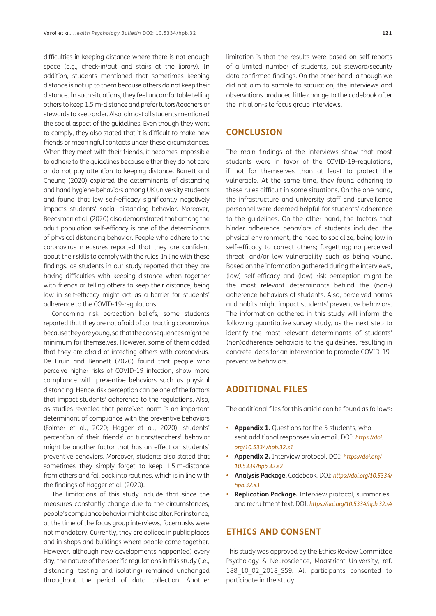difficulties in keeping distance where there is not enough space (e.g., check-in/out and stairs at the library). In addition, students mentioned that sometimes keeping distance is not up to them because others do not keep their distance. In such situations, they feel uncomfortable telling others to keep 1.5 m-distance and prefer tutors/teachers or stewards to keep order. Also, almost all students mentioned the social aspect of the guidelines. Even though they want to comply, they also stated that it is difficult to make new friends or meaningful contacts under these circumstances. When they meet with their friends, it becomes impossible to adhere to the guidelines because either they do not care or do not pay attention to keeping distance. Barrett and Cheung (2020) explored the determinants of distancing and hand hygiene behaviors among UK university students and found that low self-efficacy significantly negatively impacts students' social distancing behavior. Moreover, Beeckman et al. (2020) also demonstrated that among the adult population self-efficacy is one of the determinants of physical distancing behavior. People who adhere to the coronavirus measures reported that they are confident about their skills to comply with the rules. In line with these findings, as students in our study reported that they are having difficulties with keeping distance when together with friends or telling others to keep their distance, being low in self-efficacy might act as a barrier for students' adherence to the COVID-19-regulations.

Concerning risk perception beliefs, some students reported that they are not afraid of contracting coronavirus because they are young, so that the consequences might be minimum for themselves. However, some of them added that they are afraid of infecting others with coronavirus. De Bruin and Bennett (2020) found that people who perceive higher risks of COVID-19 infection, show more compliance with preventive behaviors such as physical distancing. Hence, risk perception can be one of the factors that impact students' adherence to the regulations. Also, as studies revealed that perceived norm is an important determinant of compliance with the preventive behaviors (Folmer et al., 2020; Hagger et al., 2020), students' perception of their friends' or tutors/teachers' behavior might be another factor that has an effect on students' preventive behaviors. Moreover, students also stated that sometimes they simply forget to keep 1.5 m-distance from others and fall back into routines, which is in line with the findings of Hagger et al. (2020).

The limitations of this study include that since the measures constantly change due to the circumstances, people's compliance behavior might also alter. For instance, at the time of the focus group interviews, facemasks were not mandatory. Currently, they are obliged in public places and in shops and buildings where people come together. However, although new developments happen(ed) every day, the nature of the specific regulations in this study (i.e., distancing, testing and isolating) remained unchanged throughout the period of data collection. Another limitation is that the results were based on self-reports of a limited number of students, but steward/security data confirmed findings. On the other hand, although we did not aim to sample to saturation, the interviews and observations produced little change to the codebook after the initial on-site focus group interviews.

## **CONCLUSION**

The main findings of the interviews show that most students were in favor of the COVID-19-regulations, if not for themselves than at least to protect the vulnerable. At the same time, they found adhering to these rules difficult in some situations. On the one hand, the infrastructure and university staff and surveillance personnel were deemed helpful for students' adherence to the guidelines. On the other hand, the factors that hinder adherence behaviors of students included the physical environment; the need to socialize; being low in self-efficacy to correct others; forgetting; no perceived threat, and/or low vulnerability such as being young. Based on the information gathered during the interviews, (low) self-efficacy and (low) risk perception might be the most relevant determinants behind the (non-) adherence behaviors of students. Also, perceived norms and habits might impact students' preventive behaviors. The information gathered in this study will inform the following quantitative survey study, as the next step to identify the most relevant determinants of students' (non)adherence behaviors to the guidelines, resulting in concrete ideas for an intervention to promote COVID-19 preventive behaviors.

# **ADDITIONAL FILES**

The additional files for this article can be found as follows:

- **• Appendix 1.** Questions for the 5 students, who sent additional responses via email. DOI: *[https://doi.](https://doi.org/10.5334/hpb.32.s1) [org/10.5334/hpb.32.s1](https://doi.org/10.5334/hpb.32.s1)*
- **• Appendix 2.** Interview protocol. DOI: *[https://doi.org/](https://doi.org/10.5334/hpb.32.s2) [10.5334/hpb.32.s2](https://doi.org/10.5334/hpb.32.s2)*
- **• Analysis Package.** Codebook. DOI: *[https://doi.org/10.5334/](https://doi.org/10.5334/hpb.32.s3) [hpb.32.s3](https://doi.org/10.5334/hpb.32.s3)*
- **• Replication Package.** Interview protocol, summaries and recruitment text. DOI: *<https://doi.org/10.5334/hpb.32.s4>*

# **ETHICS AND CONSENT**

This study was approved by the Ethics Review Committee Psychology & Neuroscience, Maastricht University, ref. 188 10 02 2018 S59. All participants consented to participate in the study.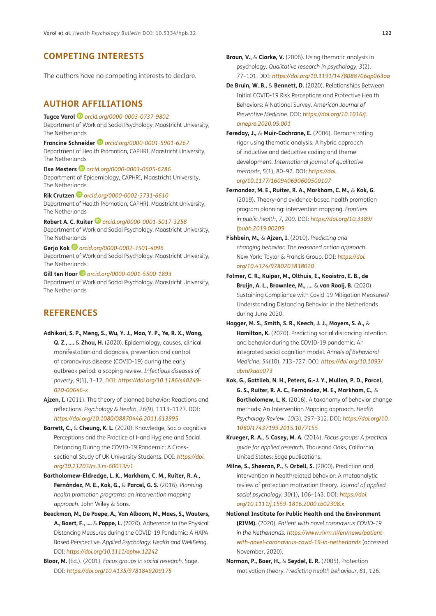# **COMPETING INTERESTS**

The authors have no competing interests to declare.

### <span id="page-8-0"></span>**AUTHOR AFFILIATIONS**

**Tugce Varol** *[orcid.org/0000-0003-0737-9802](https://orcid.org/0000-0003-0737-9802)* Department of Work and Social Psychology, Maastricht University, The Netherlands

**Francine Schneider***[orcid.org/0000-0001-5901-6267](https://orcid.org/0000-0001-5901-6267)* Department of Health Promotion, CAPHRI, Maastricht University, The Netherlands

**Ilse Mesters***[orcid.org/0000-0003-0605-6286](https://orcid.org/0000-0003-0605-6286)* Department of Epidemiology, CAPHRI, Maastricht University, The Netherlands

**Rik Crutzen** *[orcid.org/0000-0002-3731-6610](https://orcid.org/0000-0002-3731-6610)* Department of Health Promotion, CAPHRI, Maastricht University, The Netherlands

**Robert A. C. Ruiter** *[orcid.org/0000-0001-5017-3258](https://orcid.org/0000-0001-5017-3258)* Department of Work and Social Psychology, Maastricht University, The Netherlands

**Gerjo Kok***[orcid.org/0000-0002-3501-4096](https://orcid.org/0000-0002-3501-4096)* Department of Work and Social Psychology, Maastricht University, The Netherlands

**Gill ten Hoor***[orcid.org/0000-0001-5500-1893](https://orcid.org/0000-0001-5500-1893)* Department of Work and Social Psychology, Maastricht University, The Netherlands

# **REFERENCES**

- **Adhikari, S. P., Meng, S., Wu, Y. J., Mao, Y. P., Ye, R. X., Wang, Q. Z., ….** & **Zhou, H.** (2020). Epidemiology, causes, clinical manifestation and diagnosis, prevention and control of coronavirus disease (COVID-19) during the early outbreak period: a scoping review. *Infectious diseases of poverty*, *9*(1), 1–12. DOI: *[https://doi.org/10.1186/s40249-](https://doi.org/10.1186/s40249-020-00646-x) [020-00646-x](https://doi.org/10.1186/s40249-020-00646-x)*
- **Ajzen, I.** (2011). The theory of planned behavior: Reactions and reflections. *Psychology & Health*, *26*(9), 1113–1127. DOI: *<https://doi.org/10.1080/08870446.2011.613995>*
- **Barrett, C.,** & **Cheung, K. L.** (2020). Knowledge, Socio-cognitive Perceptions and the Practice of Hand Hygiene and Social Distancing During the COVID-19 Pandemic: A Crosssectional Study of UK University Students. DOI: *[https://doi.](https://doi.org/10.21203/rs.3.rs-60033/v1) [org/10.21203/rs.3.rs-60033/v1](https://doi.org/10.21203/rs.3.rs-60033/v1)*
- **Bartholomew-Eldredge, L. K., Markham, C. M., Ruiter, R. A., Fernández, M. E., Kok, G.,** & **Parcel, G. S.** (2016). *Planning health promotion programs: an intervention mapping approach*. John Wiley & Sons.
- **Beeckman, M., De Paepe, A., Van Alboom, M., Maes, S., Wauters, A., Baert, F., ….** & **Poppe, L.** (2020). Adherence to the Physical Distancing Measures during the COVID-19 Pandemic: A HAPA Based Perspective. Applied Psychology: Health and WellBeing. DOI: *<https://doi.org/10.1111/aphw.12242>*
- **Bloor, M.** (Ed.). (2001). *Focus groups in social research*. Sage. DOI: *<https://doi.org/10.4135/9781849209175>*

**Braun, V.,** & **Clarke, V.** (2006). Using thematic analysis in psychology. *Qualitative research in psychology*, *3*(2), 77–101. DOI: *<https://doi.org/10.1191/1478088706qp063oa>*

- **De Bruin, W. B.,** & **Bennett, D.** (2020). Relationships Between Initial COVID-19 Risk Perceptions and Protective Health Behaviors: A National Survey. *American Journal of Preventive Medicine*. DOI: *[https://doi.org/10.1016/j.](https://doi.org/10.1016/j.amepre.2020.05.001) [amepre.2020.05.001](https://doi.org/10.1016/j.amepre.2020.05.001)*
- **Fereday, J.,** & **Muir-Cochrane, E.** (2006). Demonstrating rigor using thematic analysis: A hybrid approach of inductive and deductive coding and theme development. *International journal of qualitative methods*, *5*(1), 80–92. DOI: *[https://doi.](https://doi.org/10.1177/160940690600500107) [org/10.1177/160940690600500107](https://doi.org/10.1177/160940690600500107)*
- **Fernandez, M. E., Ruiter, R. A., Markham, C. M.,** & **Kok, G.** (2019). Theory-and evidence-based health promotion program planning: intervention mapping. *Frontiers in public health*, *7*, 209. DOI: *[https://doi.org/10.3389/](https://doi.org/10.3389/fpubh.2019.00209) [fpubh.2019.00209](https://doi.org/10.3389/fpubh.2019.00209)*
- **Fishbein, M.,** & **Ajzen, I.** (2010). *Predicting and changing behavior: The reasoned action approach*. New York: Taylor & Francis Group. DOI: *[https://doi.](https://doi.org/10.4324/9780203838020) [org/10.4324/9780203838020](https://doi.org/10.4324/9780203838020)*
- **Folmer, C. R., Kuiper, M., Olthuis, E., Kooistra, E. B., de Bruijn, A. L., Brownlee, M., ….** & **van Rooij, B.** (2020). Sustaining Compliance with Covid-19 Mitigation Measures? Understanding Distancing Behavior in the Netherlands during June 2020.
- **Hagger, M. S., Smith, S. R., Keech, J. J., Moyers, S. A.,** & **Hamilton, K.** (2020). Predicting social distancing intention and behavior during the COVID-19 pandemic: An integrated social cognition model. *Annals of Behavioral Medicine*, *54*(10), 713–727. DOI: *[https://doi.org/10.1093/](https://doi.org/10.1093/abm/kaaa073) [abm/kaaa073](https://doi.org/10.1093/abm/kaaa073)*
- **Kok, G., Gottlieb, N. H., Peters, G.-J. Y., Mullen, P. D., Parcel, G. S., Ruiter, R. A. C., Fernández, M. E., Markham, C.,** & **Bartholomew, L. K.** (2016). A taxonomy of behavior change methods: An Intervention Mapping approach. *Health Psychology Review*, *10*(3), 297–312. DOI: *[https://doi.org/10.](https://doi.org/10.1080/17437199.2015.1077155) [1080/17437199.2015.1077155](https://doi.org/10.1080/17437199.2015.1077155)*
- **Krueger, R. A.,** & **Casey, M. A.** (2014). *Focus groups: A practical guide for applied research*. Thousand Oaks, California, United States: Sage publications.
- **Milne, S., Sheeran, P.,** & **Orbell, S.** (2000). Prediction and intervention in healthrelated behavior: A metaanalytic review of protection motivation theory. *Journal of applied social psychology*, *30*(1), 106–143. DOI: *[https://doi.](https://doi.org/10.1111/j.1559-1816.2000.tb02308.x) [org/10.1111/j.1559-1816.2000.tb02308.x](https://doi.org/10.1111/j.1559-1816.2000.tb02308.x)*
- **National Institute for Public Health and the Environment (RIVM).** (2020). *Patient with novel coronavirus COVID-19 in the Netherlands. [https://www.rivm.nl/en/news/patient](https://www.rivm.nl/en/news/patient-with-novel-coronavirus-covid-19-in-netherlands)[with-novel-coronavirus-covid-19-in-netherlands](https://www.rivm.nl/en/news/patient-with-novel-coronavirus-covid-19-in-netherlands)* (accessed November, 2020).
- **Norman, P., Boer, H.,** & **Seydel, E. R.** (2005). Protection motivation theory. *Predicting health behaviour*, *81*, 126.